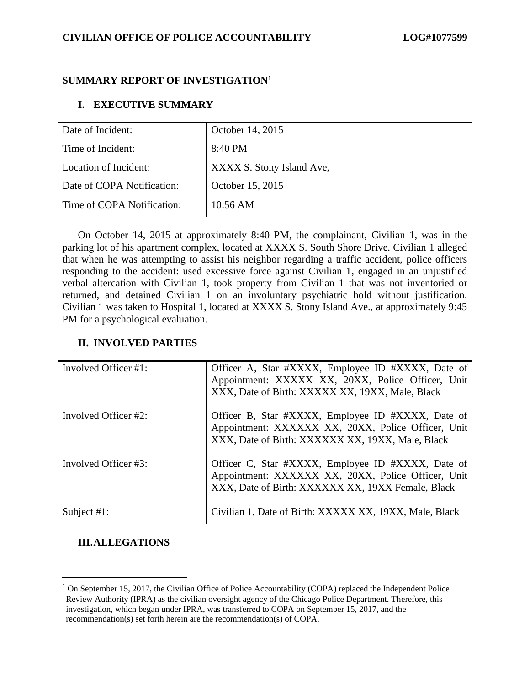## **SUMMARY REPORT OF INVESTIGATION<sup>1</sup>**

## **I. EXECUTIVE SUMMARY**

| Date of Incident:          | October 14, 2015          |  |
|----------------------------|---------------------------|--|
| Time of Incident:          | 8:40 PM                   |  |
| Location of Incident:      | XXXX S. Stony Island Ave, |  |
| Date of COPA Notification: | October 15, 2015          |  |
| Time of COPA Notification: | 10:56 AM                  |  |

On October 14, 2015 at approximately 8:40 PM, the complainant, Civilian 1, was in the parking lot of his apartment complex, located at XXXX S. South Shore Drive. Civilian 1 alleged that when he was attempting to assist his neighbor regarding a traffic accident, police officers responding to the accident: used excessive force against Civilian 1, engaged in an unjustified verbal altercation with Civilian 1, took property from Civilian 1 that was not inventoried or returned, and detained Civilian 1 on an involuntary psychiatric hold without justification. Civilian 1 was taken to Hospital 1, located at XXXX S. Stony Island Ave., at approximately 9:45 PM for a psychological evaluation.

## **II. INVOLVED PARTIES**

| Involved Officer #1: | Officer A, Star #XXXX, Employee ID #XXXX, Date of<br>Appointment: XXXXX XX, 20XX, Police Officer, Unit<br>XXX, Date of Birth: XXXXX XX, 19XX, Male, Black   |
|----------------------|-------------------------------------------------------------------------------------------------------------------------------------------------------------|
| Involved Officer #2: | Officer B, Star #XXXX, Employee ID #XXXX, Date of<br>Appointment: XXXXXX XX, 20XX, Police Officer, Unit<br>XXX, Date of Birth: XXXXXX XX, 19XX, Male, Black |
| Involved Officer #3: | Officer C, Star #XXXX, Employee ID #XXXX, Date of Appointment: XXXXXX XX, 20XX, Police Officer, Unit<br>XXX, Date of Birth: XXXXXX XX, 19XX Female, Black   |
| Subject $#1$ :       | Civilian 1, Date of Birth: XXXXX XX, 19XX, Male, Black                                                                                                      |

## **III.ALLEGATIONS**

<sup>&</sup>lt;sup>1</sup> On September 15, 2017, the Civilian Office of Police Accountability (COPA) replaced the Independent Police Review Authority (IPRA) as the civilian oversight agency of the Chicago Police Department. Therefore, this investigation, which began under IPRA, was transferred to COPA on September 15, 2017, and the recommendation(s) set forth herein are the recommendation(s) of COPA.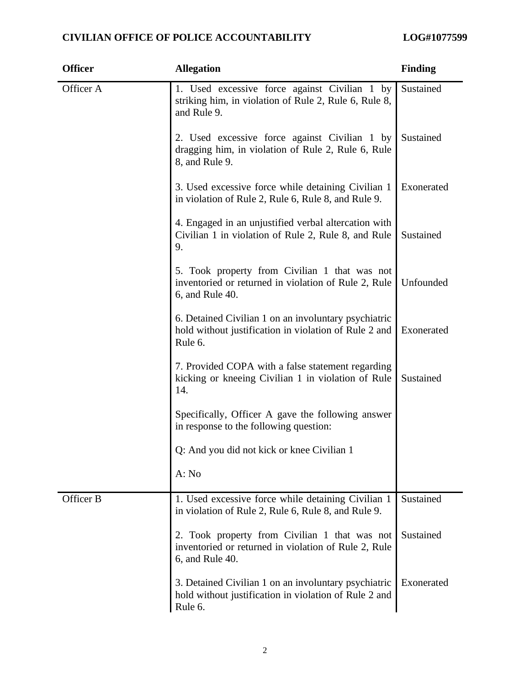| <b>Officer</b> | <b>Allegation</b>                                                                                                        | <b>Finding</b> |
|----------------|--------------------------------------------------------------------------------------------------------------------------|----------------|
| Officer A      | 1. Used excessive force against Civilian 1 by<br>striking him, in violation of Rule 2, Rule 6, Rule 8,<br>and Rule 9.    | Sustained      |
|                | 2. Used excessive force against Civilian 1 by<br>dragging him, in violation of Rule 2, Rule 6, Rule<br>8, and Rule 9.    | Sustained      |
|                | 3. Used excessive force while detaining Civilian 1<br>in violation of Rule 2, Rule 6, Rule 8, and Rule 9.                | Exonerated     |
|                | 4. Engaged in an unjustified verbal altercation with<br>Civilian 1 in violation of Rule 2, Rule 8, and Rule<br>9.        | Sustained      |
|                | 5. Took property from Civilian 1 that was not<br>inventoried or returned in violation of Rule 2, Rule<br>6, and Rule 40. | Unfounded      |
|                | 6. Detained Civilian 1 on an involuntary psychiatric<br>hold without justification in violation of Rule 2 and<br>Rule 6. | Exonerated     |
|                | 7. Provided COPA with a false statement regarding<br>kicking or kneeing Civilian 1 in violation of Rule<br>14.           | Sustained      |
|                | Specifically, Officer A gave the following answer<br>in response to the following question:                              |                |
|                | Q: And you did not kick or knee Civilian 1                                                                               |                |
|                | A: No                                                                                                                    |                |
| Officer B      | 1. Used excessive force while detaining Civilian 1<br>in violation of Rule 2, Rule 6, Rule 8, and Rule 9.                | Sustained      |
|                | 2. Took property from Civilian 1 that was not<br>inventoried or returned in violation of Rule 2, Rule<br>6, and Rule 40. | Sustained      |
|                | 3. Detained Civilian 1 on an involuntary psychiatric<br>hold without justification in violation of Rule 2 and<br>Rule 6. | Exonerated     |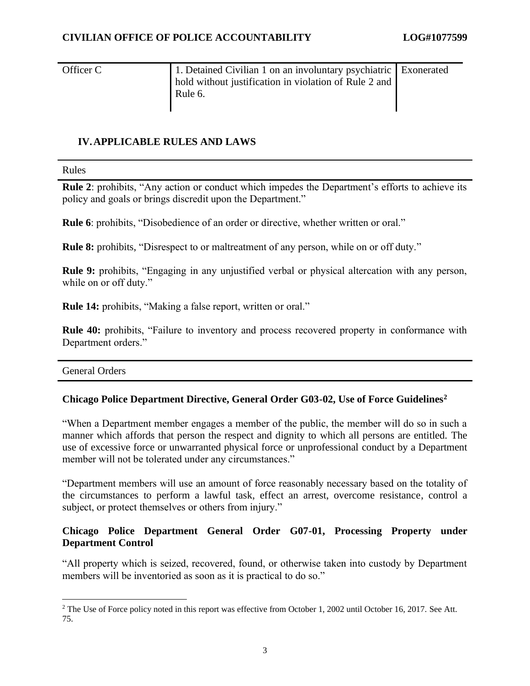Officer C 1. Detained Civilian 1 on an involuntary psychiatric hold without justification in violation of Rule 2 and Rule 6. Exonerated

#### **IV.APPLICABLE RULES AND LAWS**

Rules

**Rule 2**: prohibits, "Any action or conduct which impedes the Department's efforts to achieve its policy and goals or brings discredit upon the Department."

**Rule 6**: prohibits, "Disobedience of an order or directive, whether written or oral."

**Rule 8:** prohibits, "Disrespect to or maltreatment of any person, while on or off duty."

**Rule 9:** prohibits, "Engaging in any unjustified verbal or physical altercation with any person, while on or off duty."

**Rule 14:** prohibits, "Making a false report, written or oral."

**Rule 40:** prohibits, "Failure to inventory and process recovered property in conformance with Department orders."

General Orders

#### **Chicago Police Department Directive, General Order G03-02, Use of Force Guidelines<sup>2</sup>**

"When a Department member engages a member of the public, the member will do so in such a manner which affords that person the respect and dignity to which all persons are entitled. The use of excessive force or unwarranted physical force or unprofessional conduct by a Department member will not be tolerated under any circumstances."

"Department members will use an amount of force reasonably necessary based on the totality of the circumstances to perform a lawful task, effect an arrest, overcome resistance, control a subject, or protect themselves or others from injury."

## **Chicago Police Department General Order G07-01, Processing Property under Department Control**

"All property which is seized, recovered, found, or otherwise taken into custody by Department members will be inventoried as soon as it is practical to do so."

<sup>&</sup>lt;sup>2</sup> The Use of Force policy noted in this report was effective from October 1, 2002 until October 16, 2017. See Att. 75.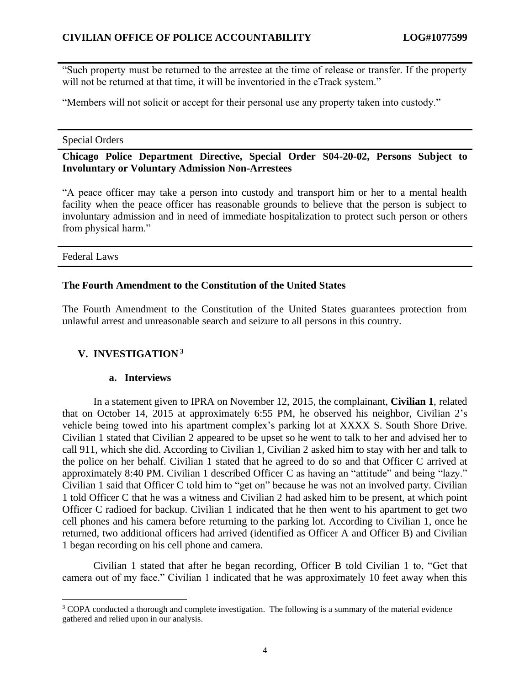"Such property must be returned to the arrestee at the time of release or transfer. If the property will not be returned at that time, it will be inventoried in the eTrack system."

"Members will not solicit or accept for their personal use any property taken into custody."

#### Special Orders

#### **Chicago Police Department Directive, Special Order S04-20-02, Persons Subject to Involuntary or Voluntary Admission Non-Arrestees**

"A peace officer may take a person into custody and transport him or her to a mental health facility when the peace officer has reasonable grounds to believe that the person is subject to involuntary admission and in need of immediate hospitalization to protect such person or others from physical harm."

Federal Laws

#### **The Fourth Amendment to the Constitution of the United States**

The Fourth Amendment to the Constitution of the United States guarantees protection from unlawful arrest and unreasonable search and seizure to all persons in this country.

#### **V. INVESTIGATION <sup>3</sup>**

#### **a. Interviews**

In a statement given to IPRA on November 12, 2015, the complainant, **Civilian 1**, related that on October 14, 2015 at approximately 6:55 PM, he observed his neighbor, Civilian 2's vehicle being towed into his apartment complex's parking lot at XXXX S. South Shore Drive. Civilian 1 stated that Civilian 2 appeared to be upset so he went to talk to her and advised her to call 911, which she did. According to Civilian 1, Civilian 2 asked him to stay with her and talk to the police on her behalf. Civilian 1 stated that he agreed to do so and that Officer C arrived at approximately 8:40 PM. Civilian 1 described Officer C as having an "attitude" and being "lazy." Civilian 1 said that Officer C told him to "get on" because he was not an involved party. Civilian 1 told Officer C that he was a witness and Civilian 2 had asked him to be present, at which point Officer C radioed for backup. Civilian 1 indicated that he then went to his apartment to get two cell phones and his camera before returning to the parking lot. According to Civilian 1, once he returned, two additional officers had arrived (identified as Officer A and Officer B) and Civilian 1 began recording on his cell phone and camera.

Civilian 1 stated that after he began recording, Officer B told Civilian 1 to, "Get that camera out of my face." Civilian 1 indicated that he was approximately 10 feet away when this

<sup>&</sup>lt;sup>3</sup> COPA conducted a thorough and complete investigation. The following is a summary of the material evidence gathered and relied upon in our analysis.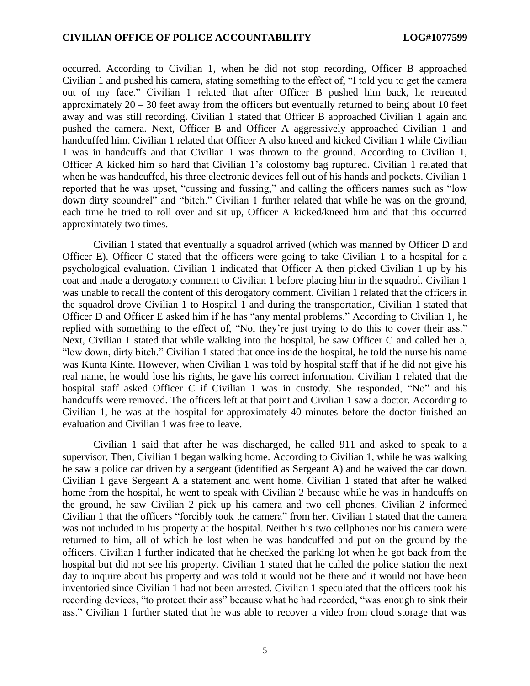occurred. According to Civilian 1, when he did not stop recording, Officer B approached Civilian 1 and pushed his camera, stating something to the effect of, "I told you to get the camera out of my face." Civilian 1 related that after Officer B pushed him back, he retreated approximately  $20 - 30$  feet away from the officers but eventually returned to being about 10 feet away and was still recording. Civilian 1 stated that Officer B approached Civilian 1 again and pushed the camera. Next, Officer B and Officer A aggressively approached Civilian 1 and handcuffed him. Civilian 1 related that Officer A also kneed and kicked Civilian 1 while Civilian 1 was in handcuffs and that Civilian 1 was thrown to the ground. According to Civilian 1, Officer A kicked him so hard that Civilian 1's colostomy bag ruptured. Civilian 1 related that when he was handcuffed, his three electronic devices fell out of his hands and pockets. Civilian 1 reported that he was upset, "cussing and fussing," and calling the officers names such as "low down dirty scoundrel" and "bitch." Civilian 1 further related that while he was on the ground, each time he tried to roll over and sit up, Officer A kicked/kneed him and that this occurred approximately two times.

Civilian 1 stated that eventually a squadrol arrived (which was manned by Officer D and Officer E). Officer C stated that the officers were going to take Civilian 1 to a hospital for a psychological evaluation. Civilian 1 indicated that Officer A then picked Civilian 1 up by his coat and made a derogatory comment to Civilian 1 before placing him in the squadrol. Civilian 1 was unable to recall the content of this derogatory comment. Civilian 1 related that the officers in the squadrol drove Civilian 1 to Hospital 1 and during the transportation, Civilian 1 stated that Officer D and Officer E asked him if he has "any mental problems." According to Civilian 1, he replied with something to the effect of, "No, they're just trying to do this to cover their ass." Next, Civilian 1 stated that while walking into the hospital, he saw Officer C and called her a, "low down, dirty bitch." Civilian 1 stated that once inside the hospital, he told the nurse his name was Kunta Kinte. However, when Civilian 1 was told by hospital staff that if he did not give his real name, he would lose his rights, he gave his correct information. Civilian 1 related that the hospital staff asked Officer C if Civilian 1 was in custody. She responded, "No" and his handcuffs were removed. The officers left at that point and Civilian 1 saw a doctor. According to Civilian 1, he was at the hospital for approximately 40 minutes before the doctor finished an evaluation and Civilian 1 was free to leave.

Civilian 1 said that after he was discharged, he called 911 and asked to speak to a supervisor. Then, Civilian 1 began walking home. According to Civilian 1, while he was walking he saw a police car driven by a sergeant (identified as Sergeant A) and he waived the car down. Civilian 1 gave Sergeant A a statement and went home. Civilian 1 stated that after he walked home from the hospital, he went to speak with Civilian 2 because while he was in handcuffs on the ground, he saw Civilian 2 pick up his camera and two cell phones. Civilian 2 informed Civilian 1 that the officers "forcibly took the camera" from her. Civilian 1 stated that the camera was not included in his property at the hospital. Neither his two cellphones nor his camera were returned to him, all of which he lost when he was handcuffed and put on the ground by the officers. Civilian 1 further indicated that he checked the parking lot when he got back from the hospital but did not see his property. Civilian 1 stated that he called the police station the next day to inquire about his property and was told it would not be there and it would not have been inventoried since Civilian 1 had not been arrested. Civilian 1 speculated that the officers took his recording devices, "to protect their ass" because what he had recorded, "was enough to sink their ass." Civilian 1 further stated that he was able to recover a video from cloud storage that was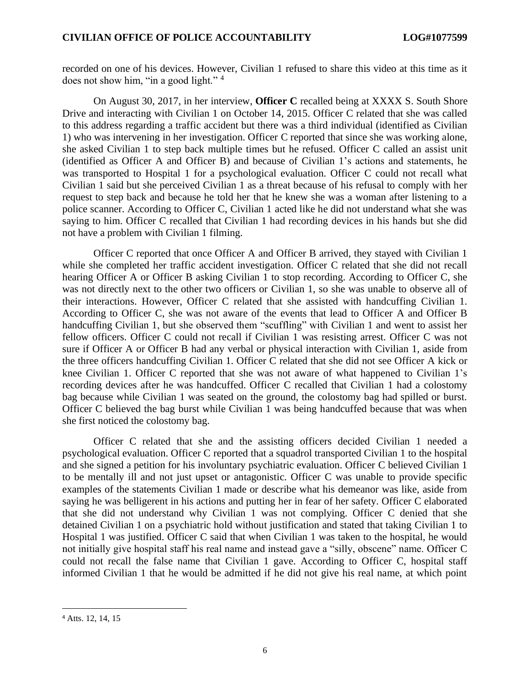recorded on one of his devices. However, Civilian 1 refused to share this video at this time as it does not show him, "in a good light." <sup>4</sup>

On August 30, 2017, in her interview, **Officer C** recalled being at XXXX S. South Shore Drive and interacting with Civilian 1 on October 14, 2015. Officer C related that she was called to this address regarding a traffic accident but there was a third individual (identified as Civilian 1) who was intervening in her investigation. Officer C reported that since she was working alone, she asked Civilian 1 to step back multiple times but he refused. Officer C called an assist unit (identified as Officer A and Officer B) and because of Civilian 1's actions and statements, he was transported to Hospital 1 for a psychological evaluation. Officer C could not recall what Civilian 1 said but she perceived Civilian 1 as a threat because of his refusal to comply with her request to step back and because he told her that he knew she was a woman after listening to a police scanner. According to Officer C, Civilian 1 acted like he did not understand what she was saying to him. Officer C recalled that Civilian 1 had recording devices in his hands but she did not have a problem with Civilian 1 filming.

Officer C reported that once Officer A and Officer B arrived, they stayed with Civilian 1 while she completed her traffic accident investigation. Officer C related that she did not recall hearing Officer A or Officer B asking Civilian 1 to stop recording. According to Officer C, she was not directly next to the other two officers or Civilian 1, so she was unable to observe all of their interactions. However, Officer C related that she assisted with handcuffing Civilian 1. According to Officer C, she was not aware of the events that lead to Officer A and Officer B handcuffing Civilian 1, but she observed them "scuffling" with Civilian 1 and went to assist her fellow officers. Officer C could not recall if Civilian 1 was resisting arrest. Officer C was not sure if Officer A or Officer B had any verbal or physical interaction with Civilian 1, aside from the three officers handcuffing Civilian 1. Officer C related that she did not see Officer A kick or knee Civilian 1. Officer C reported that she was not aware of what happened to Civilian 1's recording devices after he was handcuffed. Officer C recalled that Civilian 1 had a colostomy bag because while Civilian 1 was seated on the ground, the colostomy bag had spilled or burst. Officer C believed the bag burst while Civilian 1 was being handcuffed because that was when she first noticed the colostomy bag.

Officer C related that she and the assisting officers decided Civilian 1 needed a psychological evaluation. Officer C reported that a squadrol transported Civilian 1 to the hospital and she signed a petition for his involuntary psychiatric evaluation. Officer C believed Civilian 1 to be mentally ill and not just upset or antagonistic. Officer C was unable to provide specific examples of the statements Civilian 1 made or describe what his demeanor was like, aside from saying he was belligerent in his actions and putting her in fear of her safety. Officer C elaborated that she did not understand why Civilian 1 was not complying. Officer C denied that she detained Civilian 1 on a psychiatric hold without justification and stated that taking Civilian 1 to Hospital 1 was justified. Officer C said that when Civilian 1 was taken to the hospital, he would not initially give hospital staff his real name and instead gave a "silly, obscene" name. Officer C could not recall the false name that Civilian 1 gave. According to Officer C, hospital staff informed Civilian 1 that he would be admitted if he did not give his real name, at which point

<sup>4</sup> Atts. 12, 14, 15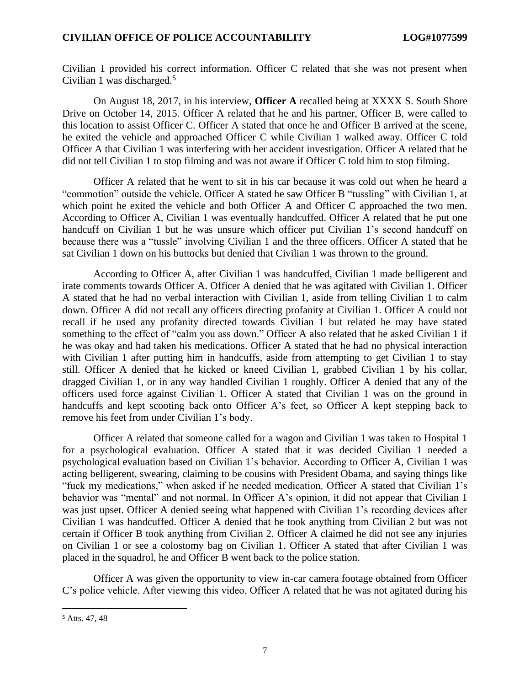Civilian 1 provided his correct information. Officer C related that she was not present when Civilian 1 was discharged. $5$ 

On August 18, 2017, in his interview, **Officer A** recalled being at XXXX S. South Shore Drive on October 14, 2015. Officer A related that he and his partner, Officer B, were called to this location to assist Officer C. Officer A stated that once he and Officer B arrived at the scene, he exited the vehicle and approached Officer C while Civilian 1 walked away. Officer C told Officer A that Civilian 1 was interfering with her accident investigation. Officer A related that he did not tell Civilian 1 to stop filming and was not aware if Officer C told him to stop filming.

Officer A related that he went to sit in his car because it was cold out when he heard a "commotion" outside the vehicle. Officer A stated he saw Officer B "tussling" with Civilian 1, at which point he exited the vehicle and both Officer A and Officer C approached the two men. According to Officer A, Civilian 1 was eventually handcuffed. Officer A related that he put one handcuff on Civilian 1 but he was unsure which officer put Civilian 1's second handcuff on because there was a "tussle" involving Civilian 1 and the three officers. Officer A stated that he sat Civilian 1 down on his buttocks but denied that Civilian 1 was thrown to the ground.

According to Officer A, after Civilian 1 was handcuffed, Civilian 1 made belligerent and irate comments towards Officer A. Officer A denied that he was agitated with Civilian 1. Officer A stated that he had no verbal interaction with Civilian 1, aside from telling Civilian 1 to calm down. Officer A did not recall any officers directing profanity at Civilian 1. Officer A could not recall if he used any profanity directed towards Civilian 1 but related he may have stated something to the effect of "calm you ass down." Officer A also related that he asked Civilian 1 if he was okay and had taken his medications. Officer A stated that he had no physical interaction with Civilian 1 after putting him in handcuffs, aside from attempting to get Civilian 1 to stay still. Officer A denied that he kicked or kneed Civilian 1, grabbed Civilian 1 by his collar, dragged Civilian 1, or in any way handled Civilian 1 roughly. Officer A denied that any of the officers used force against Civilian 1. Officer A stated that Civilian 1 was on the ground in handcuffs and kept scooting back onto Officer A's feet, so Officer A kept stepping back to remove his feet from under Civilian 1's body.

Officer A related that someone called for a wagon and Civilian 1 was taken to Hospital 1 for a psychological evaluation. Officer A stated that it was decided Civilian 1 needed a psychological evaluation based on Civilian 1's behavior. According to Officer A, Civilian 1 was acting belligerent, swearing, claiming to be cousins with President Obama, and saying things like "fuck my medications," when asked if he needed medication. Officer A stated that Civilian 1's behavior was "mental" and not normal. In Officer A's opinion, it did not appear that Civilian 1 was just upset. Officer A denied seeing what happened with Civilian 1's recording devices after Civilian 1 was handcuffed. Officer A denied that he took anything from Civilian 2 but was not certain if Officer B took anything from Civilian 2. Officer A claimed he did not see any injuries on Civilian 1 or see a colostomy bag on Civilian 1. Officer A stated that after Civilian 1 was placed in the squadrol, he and Officer B went back to the police station.

Officer A was given the opportunity to view in-car camera footage obtained from Officer C's police vehicle. After viewing this video, Officer A related that he was not agitated during his

<sup>5</sup> Atts. 47, 48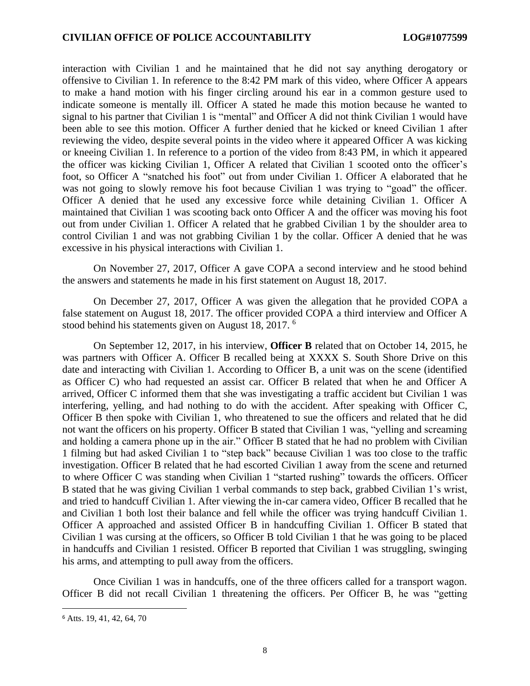interaction with Civilian 1 and he maintained that he did not say anything derogatory or offensive to Civilian 1. In reference to the 8:42 PM mark of this video, where Officer A appears to make a hand motion with his finger circling around his ear in a common gesture used to indicate someone is mentally ill. Officer A stated he made this motion because he wanted to signal to his partner that Civilian 1 is "mental" and Officer A did not think Civilian 1 would have been able to see this motion. Officer A further denied that he kicked or kneed Civilian 1 after reviewing the video, despite several points in the video where it appeared Officer A was kicking or kneeing Civilian 1. In reference to a portion of the video from 8:43 PM, in which it appeared the officer was kicking Civilian 1, Officer A related that Civilian 1 scooted onto the officer's foot, so Officer A "snatched his foot" out from under Civilian 1. Officer A elaborated that he was not going to slowly remove his foot because Civilian 1 was trying to "goad" the officer. Officer A denied that he used any excessive force while detaining Civilian 1. Officer A maintained that Civilian 1 was scooting back onto Officer A and the officer was moving his foot out from under Civilian 1. Officer A related that he grabbed Civilian 1 by the shoulder area to control Civilian 1 and was not grabbing Civilian 1 by the collar. Officer A denied that he was excessive in his physical interactions with Civilian 1.

On November 27, 2017, Officer A gave COPA a second interview and he stood behind the answers and statements he made in his first statement on August 18, 2017.

On December 27, 2017, Officer A was given the allegation that he provided COPA a false statement on August 18, 2017. The officer provided COPA a third interview and Officer A stood behind his statements given on August 18, 2017. <sup>6</sup>

On September 12, 2017, in his interview, **Officer B** related that on October 14, 2015, he was partners with Officer A. Officer B recalled being at XXXX S. South Shore Drive on this date and interacting with Civilian 1. According to Officer B, a unit was on the scene (identified as Officer C) who had requested an assist car. Officer B related that when he and Officer A arrived, Officer C informed them that she was investigating a traffic accident but Civilian 1 was interfering, yelling, and had nothing to do with the accident. After speaking with Officer C, Officer B then spoke with Civilian 1, who threatened to sue the officers and related that he did not want the officers on his property. Officer B stated that Civilian 1 was, "yelling and screaming and holding a camera phone up in the air." Officer B stated that he had no problem with Civilian 1 filming but had asked Civilian 1 to "step back" because Civilian 1 was too close to the traffic investigation. Officer B related that he had escorted Civilian 1 away from the scene and returned to where Officer C was standing when Civilian 1 "started rushing" towards the officers. Officer B stated that he was giving Civilian 1 verbal commands to step back, grabbed Civilian 1's wrist, and tried to handcuff Civilian 1. After viewing the in-car camera video, Officer B recalled that he and Civilian 1 both lost their balance and fell while the officer was trying handcuff Civilian 1. Officer A approached and assisted Officer B in handcuffing Civilian 1. Officer B stated that Civilian 1 was cursing at the officers, so Officer B told Civilian 1 that he was going to be placed in handcuffs and Civilian 1 resisted. Officer B reported that Civilian 1 was struggling, swinging his arms, and attempting to pull away from the officers.

Once Civilian 1 was in handcuffs, one of the three officers called for a transport wagon. Officer B did not recall Civilian 1 threatening the officers. Per Officer B, he was "getting

<sup>6</sup> Atts. 19, 41, 42, 64, 70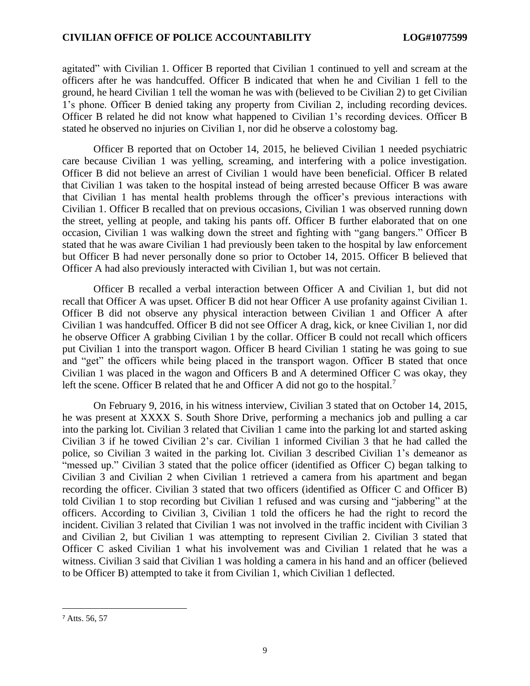agitated" with Civilian 1. Officer B reported that Civilian 1 continued to yell and scream at the officers after he was handcuffed. Officer B indicated that when he and Civilian 1 fell to the ground, he heard Civilian 1 tell the woman he was with (believed to be Civilian 2) to get Civilian 1's phone. Officer B denied taking any property from Civilian 2, including recording devices. Officer B related he did not know what happened to Civilian 1's recording devices. Officer B stated he observed no injuries on Civilian 1, nor did he observe a colostomy bag.

Officer B reported that on October 14, 2015, he believed Civilian 1 needed psychiatric care because Civilian 1 was yelling, screaming, and interfering with a police investigation. Officer B did not believe an arrest of Civilian 1 would have been beneficial. Officer B related that Civilian 1 was taken to the hospital instead of being arrested because Officer B was aware that Civilian 1 has mental health problems through the officer's previous interactions with Civilian 1. Officer B recalled that on previous occasions, Civilian 1 was observed running down the street, yelling at people, and taking his pants off. Officer B further elaborated that on one occasion, Civilian 1 was walking down the street and fighting with "gang bangers." Officer B stated that he was aware Civilian 1 had previously been taken to the hospital by law enforcement but Officer B had never personally done so prior to October 14, 2015. Officer B believed that Officer A had also previously interacted with Civilian 1, but was not certain.

Officer B recalled a verbal interaction between Officer A and Civilian 1, but did not recall that Officer A was upset. Officer B did not hear Officer A use profanity against Civilian 1. Officer B did not observe any physical interaction between Civilian 1 and Officer A after Civilian 1 was handcuffed. Officer B did not see Officer A drag, kick, or knee Civilian 1, nor did he observe Officer A grabbing Civilian 1 by the collar. Officer B could not recall which officers put Civilian 1 into the transport wagon. Officer B heard Civilian 1 stating he was going to sue and "get" the officers while being placed in the transport wagon. Officer B stated that once Civilian 1 was placed in the wagon and Officers B and A determined Officer C was okay, they left the scene. Officer B related that he and Officer A did not go to the hospital.<sup>7</sup>

On February 9, 2016, in his witness interview, Civilian 3 stated that on October 14, 2015, he was present at XXXX S. South Shore Drive, performing a mechanics job and pulling a car into the parking lot. Civilian 3 related that Civilian 1 came into the parking lot and started asking Civilian 3 if he towed Civilian 2's car. Civilian 1 informed Civilian 3 that he had called the police, so Civilian 3 waited in the parking lot. Civilian 3 described Civilian 1's demeanor as "messed up." Civilian 3 stated that the police officer (identified as Officer C) began talking to Civilian 3 and Civilian 2 when Civilian 1 retrieved a camera from his apartment and began recording the officer. Civilian 3 stated that two officers (identified as Officer C and Officer B) told Civilian 1 to stop recording but Civilian 1 refused and was cursing and "jabbering" at the officers. According to Civilian 3, Civilian 1 told the officers he had the right to record the incident. Civilian 3 related that Civilian 1 was not involved in the traffic incident with Civilian 3 and Civilian 2, but Civilian 1 was attempting to represent Civilian 2. Civilian 3 stated that Officer C asked Civilian 1 what his involvement was and Civilian 1 related that he was a witness. Civilian 3 said that Civilian 1 was holding a camera in his hand and an officer (believed to be Officer B) attempted to take it from Civilian 1, which Civilian 1 deflected.

<sup>7</sup> Atts. 56, 57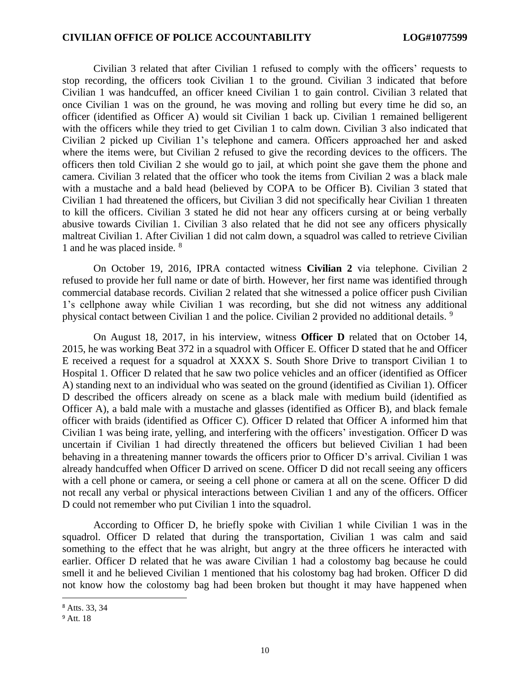Civilian 3 related that after Civilian 1 refused to comply with the officers' requests to stop recording, the officers took Civilian 1 to the ground. Civilian 3 indicated that before Civilian 1 was handcuffed, an officer kneed Civilian 1 to gain control. Civilian 3 related that once Civilian 1 was on the ground, he was moving and rolling but every time he did so, an officer (identified as Officer A) would sit Civilian 1 back up. Civilian 1 remained belligerent with the officers while they tried to get Civilian 1 to calm down. Civilian 3 also indicated that Civilian 2 picked up Civilian 1's telephone and camera. Officers approached her and asked where the items were, but Civilian 2 refused to give the recording devices to the officers. The officers then told Civilian 2 she would go to jail, at which point she gave them the phone and camera. Civilian 3 related that the officer who took the items from Civilian 2 was a black male with a mustache and a bald head (believed by COPA to be Officer B). Civilian 3 stated that Civilian 1 had threatened the officers, but Civilian 3 did not specifically hear Civilian 1 threaten to kill the officers. Civilian 3 stated he did not hear any officers cursing at or being verbally abusive towards Civilian 1. Civilian 3 also related that he did not see any officers physically maltreat Civilian 1. After Civilian 1 did not calm down, a squadrol was called to retrieve Civilian 1 and he was placed inside. <sup>8</sup>

On October 19, 2016, IPRA contacted witness **Civilian 2** via telephone. Civilian 2 refused to provide her full name or date of birth. However, her first name was identified through commercial database records. Civilian 2 related that she witnessed a police officer push Civilian 1's cellphone away while Civilian 1 was recording, but she did not witness any additional physical contact between Civilian 1 and the police. Civilian 2 provided no additional details. <sup>9</sup>

On August 18, 2017, in his interview, witness **Officer D** related that on October 14, 2015, he was working Beat 372 in a squadrol with Officer E. Officer D stated that he and Officer E received a request for a squadrol at XXXX S. South Shore Drive to transport Civilian 1 to Hospital 1. Officer D related that he saw two police vehicles and an officer (identified as Officer A) standing next to an individual who was seated on the ground (identified as Civilian 1). Officer D described the officers already on scene as a black male with medium build (identified as Officer A), a bald male with a mustache and glasses (identified as Officer B), and black female officer with braids (identified as Officer C). Officer D related that Officer A informed him that Civilian 1 was being irate, yelling, and interfering with the officers' investigation. Officer D was uncertain if Civilian 1 had directly threatened the officers but believed Civilian 1 had been behaving in a threatening manner towards the officers prior to Officer D's arrival. Civilian 1 was already handcuffed when Officer D arrived on scene. Officer D did not recall seeing any officers with a cell phone or camera, or seeing a cell phone or camera at all on the scene. Officer D did not recall any verbal or physical interactions between Civilian 1 and any of the officers. Officer D could not remember who put Civilian 1 into the squadrol.

According to Officer D, he briefly spoke with Civilian 1 while Civilian 1 was in the squadrol. Officer D related that during the transportation, Civilian 1 was calm and said something to the effect that he was alright, but angry at the three officers he interacted with earlier. Officer D related that he was aware Civilian 1 had a colostomy bag because he could smell it and he believed Civilian 1 mentioned that his colostomy bag had broken. Officer D did not know how the colostomy bag had been broken but thought it may have happened when

<sup>8</sup> Atts. 33, 34

<sup>9</sup> Att. 18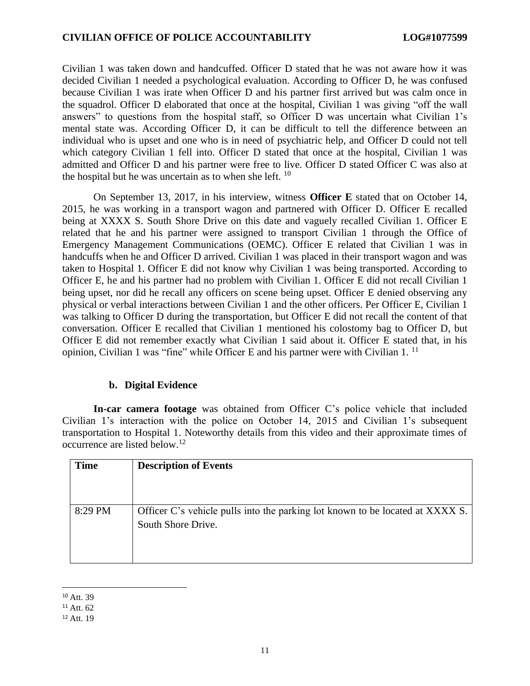Civilian 1 was taken down and handcuffed. Officer D stated that he was not aware how it was decided Civilian 1 needed a psychological evaluation. According to Officer D, he was confused because Civilian 1 was irate when Officer D and his partner first arrived but was calm once in the squadrol. Officer D elaborated that once at the hospital, Civilian 1 was giving "off the wall answers" to questions from the hospital staff, so Officer D was uncertain what Civilian 1's mental state was. According Officer D, it can be difficult to tell the difference between an individual who is upset and one who is in need of psychiatric help, and Officer D could not tell which category Civilian 1 fell into. Officer D stated that once at the hospital, Civilian 1 was admitted and Officer D and his partner were free to live. Officer D stated Officer C was also at the hospital but he was uncertain as to when she left.  $^{10}$ 

On September 13, 2017, in his interview, witness **Officer E** stated that on October 14, 2015, he was working in a transport wagon and partnered with Officer D. Officer E recalled being at XXXX S. South Shore Drive on this date and vaguely recalled Civilian 1. Officer E related that he and his partner were assigned to transport Civilian 1 through the Office of Emergency Management Communications (OEMC). Officer E related that Civilian 1 was in handcuffs when he and Officer D arrived. Civilian 1 was placed in their transport wagon and was taken to Hospital 1. Officer E did not know why Civilian 1 was being transported. According to Officer E, he and his partner had no problem with Civilian 1. Officer E did not recall Civilian 1 being upset, nor did he recall any officers on scene being upset. Officer E denied observing any physical or verbal interactions between Civilian 1 and the other officers. Per Officer E, Civilian 1 was talking to Officer D during the transportation, but Officer E did not recall the content of that conversation. Officer E recalled that Civilian 1 mentioned his colostomy bag to Officer D, but Officer E did not remember exactly what Civilian 1 said about it. Officer E stated that, in his opinion, Civilian 1 was "fine" while Officer E and his partner were with Civilian 1.<sup>11</sup>

## **b. Digital Evidence**

**In-car camera footage** was obtained from Officer C's police vehicle that included Civilian 1's interaction with the police on October 14, 2015 and Civilian 1's subsequent transportation to Hospital 1. Noteworthy details from this video and their approximate times of occurrence are listed below.<sup>12</sup>

| <b>Time</b> | <b>Description of Events</b>                                                                        |
|-------------|-----------------------------------------------------------------------------------------------------|
| 8:29 PM     | Officer C's vehicle pulls into the parking lot known to be located at XXXX S.<br>South Shore Drive. |

<sup>&</sup>lt;sup>10</sup> Att. 39

<sup>11</sup> Att. 62

<sup>12</sup> Att. 19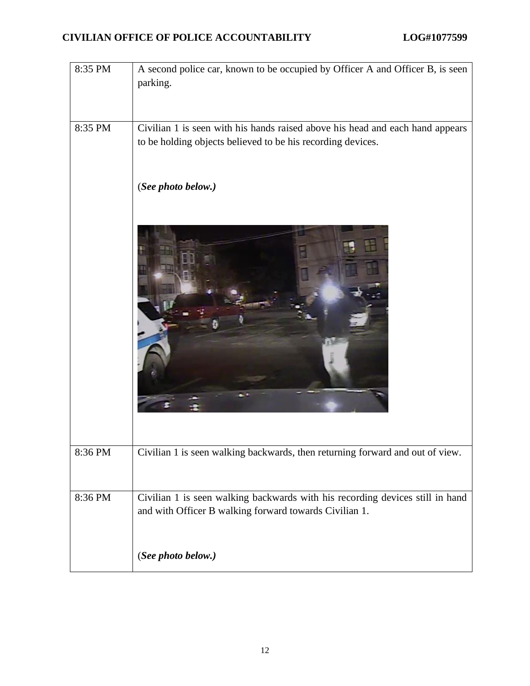| 8:35 PM | A second police car, known to be occupied by Officer A and Officer B, is seen<br>parking.                                                    |
|---------|----------------------------------------------------------------------------------------------------------------------------------------------|
|         |                                                                                                                                              |
| 8:35 PM | Civilian 1 is seen with his hands raised above his head and each hand appears<br>to be holding objects believed to be his recording devices. |
|         | (See photo below.)                                                                                                                           |
|         |                                                                                                                                              |
| 8:36 PM | Civilian 1 is seen walking backwards, then returning forward and out of view.                                                                |
| 8:36 PM | Civilian 1 is seen walking backwards with his recording devices still in hand<br>and with Officer B walking forward towards Civilian 1.      |
|         | (See photo below.)                                                                                                                           |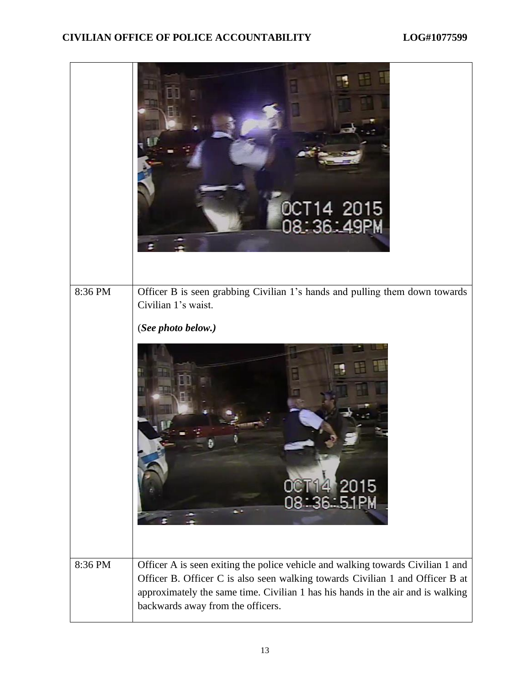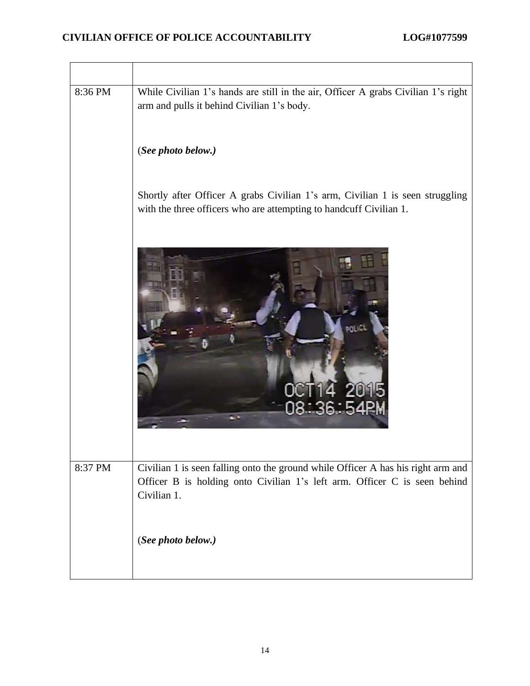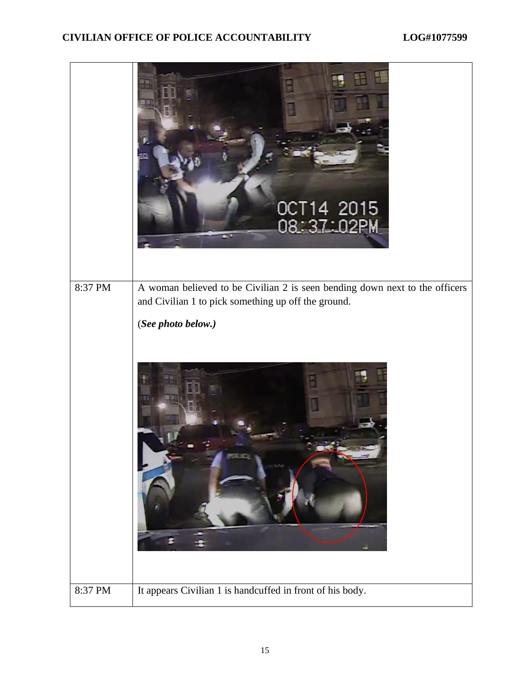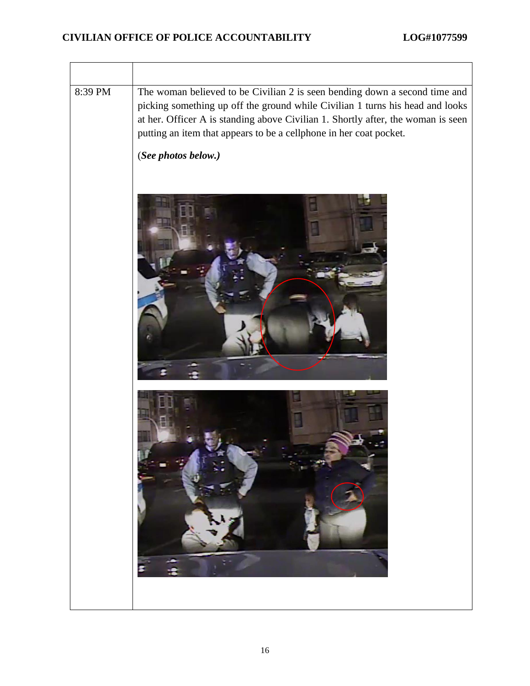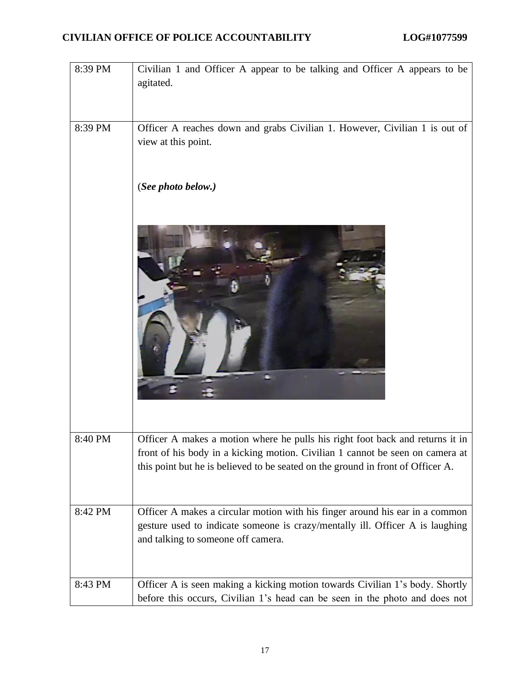| 8:39 PM | Civilian 1 and Officer A appear to be talking and Officer A appears to be<br>agitated.                                                                                                                                                            |
|---------|---------------------------------------------------------------------------------------------------------------------------------------------------------------------------------------------------------------------------------------------------|
| 8:39 PM | Officer A reaches down and grabs Civilian 1. However, Civilian 1 is out of<br>view at this point.                                                                                                                                                 |
|         | (See photo below.)                                                                                                                                                                                                                                |
|         |                                                                                                                                                                                                                                                   |
| 8:40 PM | Officer A makes a motion where he pulls his right foot back and returns it in<br>front of his body in a kicking motion. Civilian 1 cannot be seen on camera at<br>this point but he is believed to be seated on the ground in front of Officer A. |
| 8:42 PM | Officer A makes a circular motion with his finger around his ear in a common<br>gesture used to indicate someone is crazy/mentally ill. Officer A is laughing<br>and talking to someone off camera.                                               |
| 8:43 PM | Officer A is seen making a kicking motion towards Civilian 1's body. Shortly<br>before this occurs, Civilian 1's head can be seen in the photo and does not                                                                                       |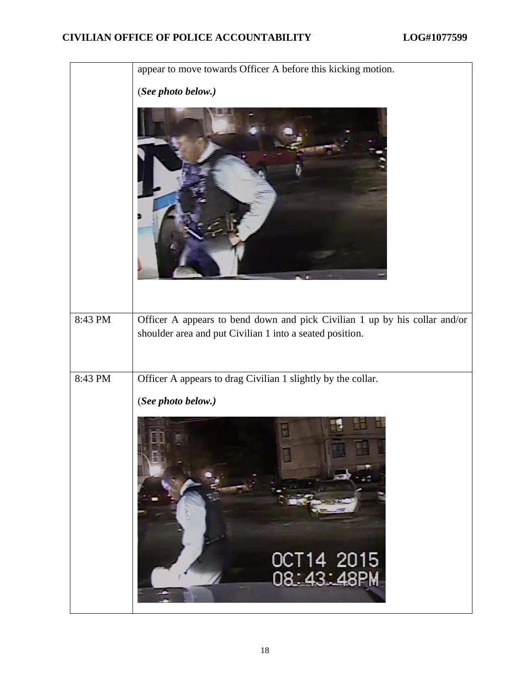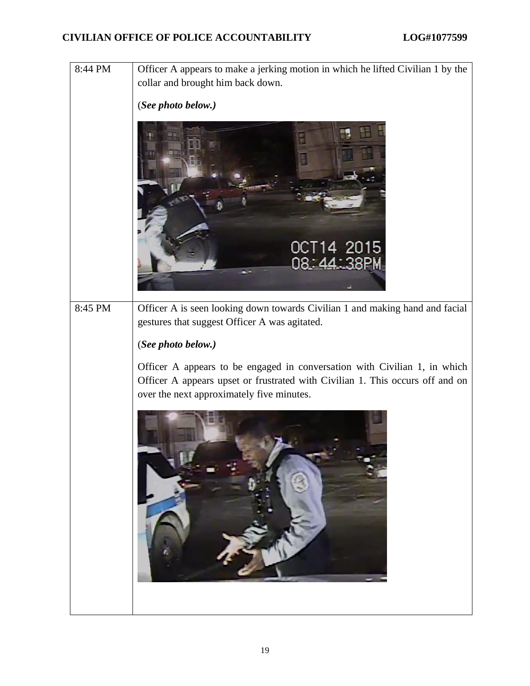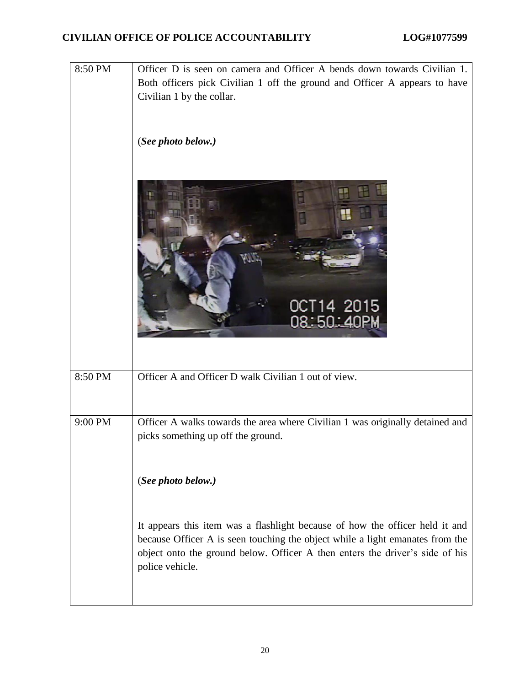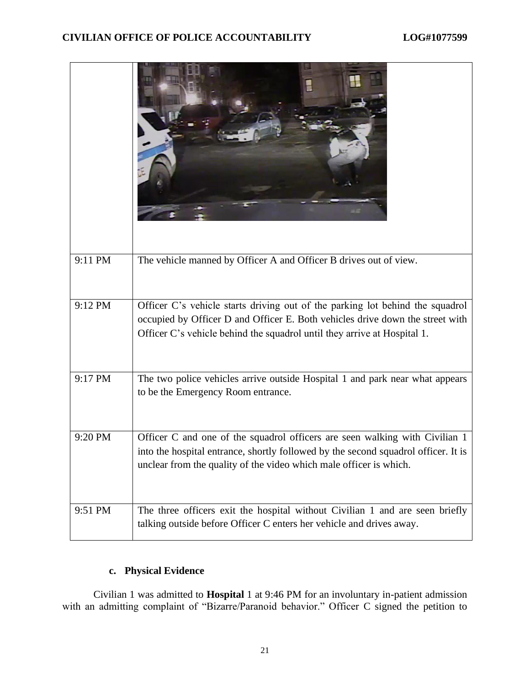| 9:11 PM | The vehicle manned by Officer A and Officer B drives out of view.                                                                                                                                                                          |
|---------|--------------------------------------------------------------------------------------------------------------------------------------------------------------------------------------------------------------------------------------------|
| 9:12 PM | Officer C's vehicle starts driving out of the parking lot behind the squadrol<br>occupied by Officer D and Officer E. Both vehicles drive down the street with<br>Officer C's vehicle behind the squadrol until they arrive at Hospital 1. |
| 9:17 PM | The two police vehicles arrive outside Hospital 1 and park near what appears<br>to be the Emergency Room entrance.                                                                                                                         |
| 9:20 PM | Officer C and one of the squadrol officers are seen walking with Civilian 1<br>into the hospital entrance, shortly followed by the second squadrol officer. It is<br>unclear from the quality of the video which male officer is which.    |
| 9:51 PM | The three officers exit the hospital without Civilian 1 and are seen briefly<br>talking outside before Officer C enters her vehicle and drives away.                                                                                       |

## **c. Physical Evidence**

Civilian 1 was admitted to **Hospital** 1 at 9:46 PM for an involuntary in-patient admission with an admitting complaint of "Bizarre/Paranoid behavior." Officer C signed the petition to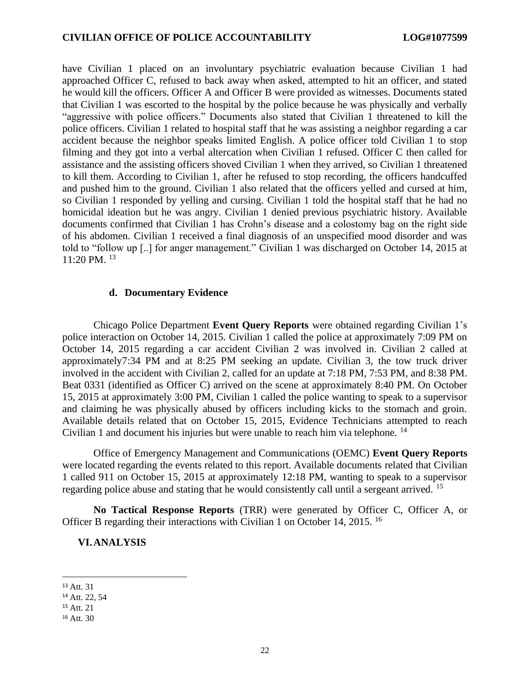have Civilian 1 placed on an involuntary psychiatric evaluation because Civilian 1 had approached Officer C, refused to back away when asked, attempted to hit an officer, and stated he would kill the officers. Officer A and Officer B were provided as witnesses. Documents stated that Civilian 1 was escorted to the hospital by the police because he was physically and verbally "aggressive with police officers." Documents also stated that Civilian 1 threatened to kill the police officers. Civilian 1 related to hospital staff that he was assisting a neighbor regarding a car accident because the neighbor speaks limited English. A police officer told Civilian 1 to stop filming and they got into a verbal altercation when Civilian 1 refused. Officer C then called for assistance and the assisting officers shoved Civilian 1 when they arrived, so Civilian 1 threatened to kill them. According to Civilian 1, after he refused to stop recording, the officers handcuffed and pushed him to the ground. Civilian 1 also related that the officers yelled and cursed at him, so Civilian 1 responded by yelling and cursing. Civilian 1 told the hospital staff that he had no homicidal ideation but he was angry. Civilian 1 denied previous psychiatric history. Available documents confirmed that Civilian 1 has Crohn's disease and a colostomy bag on the right side of his abdomen. Civilian 1 received a final diagnosis of an unspecified mood disorder and was told to "follow up [..] for anger management." Civilian 1 was discharged on October 14, 2015 at 11:20 PM. <sup>13</sup>

#### **d. Documentary Evidence**

Chicago Police Department **Event Query Reports** were obtained regarding Civilian 1's police interaction on October 14, 2015. Civilian 1 called the police at approximately 7:09 PM on October 14, 2015 regarding a car accident Civilian 2 was involved in. Civilian 2 called at approximately7:34 PM and at 8:25 PM seeking an update. Civilian 3, the tow truck driver involved in the accident with Civilian 2, called for an update at 7:18 PM, 7:53 PM, and 8:38 PM. Beat 0331 (identified as Officer C) arrived on the scene at approximately 8:40 PM. On October 15, 2015 at approximately 3:00 PM, Civilian 1 called the police wanting to speak to a supervisor and claiming he was physically abused by officers including kicks to the stomach and groin. Available details related that on October 15, 2015, Evidence Technicians attempted to reach Civilian 1 and document his injuries but were unable to reach him via telephone. <sup>14</sup>

Office of Emergency Management and Communications (OEMC) **Event Query Reports** were located regarding the events related to this report. Available documents related that Civilian 1 called 911 on October 15, 2015 at approximately 12:18 PM, wanting to speak to a supervisor regarding police abuse and stating that he would consistently call until a sergeant arrived. <sup>15</sup>

**No Tactical Response Reports** (TRR) were generated by Officer C, Officer A, or Officer B regarding their interactions with Civilian 1 on October 14, 2015. <sup>16</sup>

#### **VI.ANALYSIS**

<sup>13</sup> Att. 31

<sup>14</sup> Att. 22, 54

<sup>15</sup> Att. 21

<sup>16</sup> Att. 30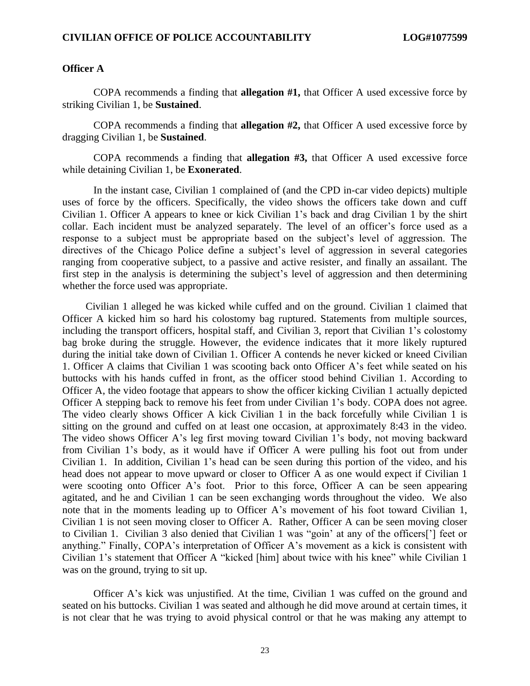#### **Officer A**

COPA recommends a finding that **allegation #1,** that Officer A used excessive force by striking Civilian 1, be **Sustained**.

COPA recommends a finding that **allegation #2,** that Officer A used excessive force by dragging Civilian 1, be **Sustained**.

COPA recommends a finding that **allegation #3,** that Officer A used excessive force while detaining Civilian 1, be **Exonerated**.

In the instant case, Civilian 1 complained of (and the CPD in-car video depicts) multiple uses of force by the officers. Specifically, the video shows the officers take down and cuff Civilian 1. Officer A appears to knee or kick Civilian 1's back and drag Civilian 1 by the shirt collar. Each incident must be analyzed separately. The level of an officer's force used as a response to a subject must be appropriate based on the subject's level of aggression. The directives of the Chicago Police define a subject's level of aggression in several categories ranging from cooperative subject, to a passive and active resister, and finally an assailant. The first step in the analysis is determining the subject's level of aggression and then determining whether the force used was appropriate.

Civilian 1 alleged he was kicked while cuffed and on the ground. Civilian 1 claimed that Officer A kicked him so hard his colostomy bag ruptured. Statements from multiple sources, including the transport officers, hospital staff, and Civilian 3, report that Civilian 1's colostomy bag broke during the struggle. However, the evidence indicates that it more likely ruptured during the initial take down of Civilian 1. Officer A contends he never kicked or kneed Civilian 1. Officer A claims that Civilian 1 was scooting back onto Officer A's feet while seated on his buttocks with his hands cuffed in front, as the officer stood behind Civilian 1. According to Officer A, the video footage that appears to show the officer kicking Civilian 1 actually depicted Officer A stepping back to remove his feet from under Civilian 1's body. COPA does not agree. The video clearly shows Officer A kick Civilian 1 in the back forcefully while Civilian 1 is sitting on the ground and cuffed on at least one occasion, at approximately 8:43 in the video. The video shows Officer A's leg first moving toward Civilian 1's body, not moving backward from Civilian 1's body, as it would have if Officer A were pulling his foot out from under Civilian 1. In addition, Civilian 1's head can be seen during this portion of the video, and his head does not appear to move upward or closer to Officer A as one would expect if Civilian 1 were scooting onto Officer A's foot. Prior to this force, Officer A can be seen appearing agitated, and he and Civilian 1 can be seen exchanging words throughout the video. We also note that in the moments leading up to Officer A's movement of his foot toward Civilian 1, Civilian 1 is not seen moving closer to Officer A. Rather, Officer A can be seen moving closer to Civilian 1. Civilian 3 also denied that Civilian 1 was "goin' at any of the officers['] feet or anything." Finally, COPA's interpretation of Officer A's movement as a kick is consistent with Civilian 1's statement that Officer A "kicked [him] about twice with his knee" while Civilian 1 was on the ground, trying to sit up.

Officer A's kick was unjustified. At the time, Civilian 1 was cuffed on the ground and seated on his buttocks. Civilian 1 was seated and although he did move around at certain times, it is not clear that he was trying to avoid physical control or that he was making any attempt to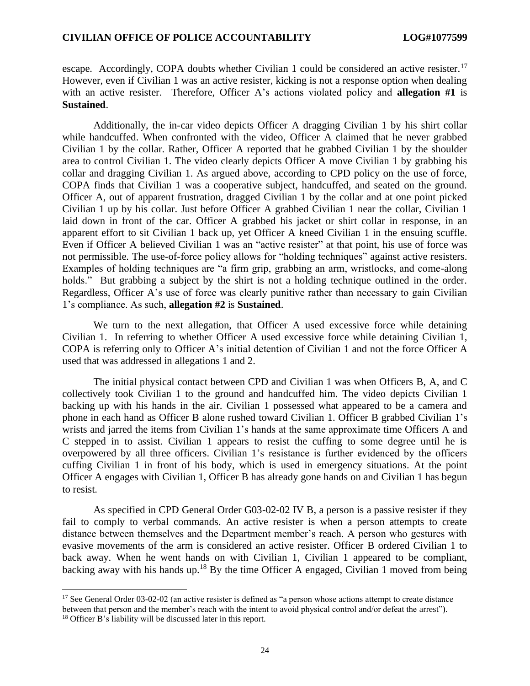escape. Accordingly, COPA doubts whether Civilian 1 could be considered an active resister.<sup>17</sup> However, even if Civilian 1 was an active resister, kicking is not a response option when dealing with an active resister. Therefore, Officer A's actions violated policy and **allegation #1** is **Sustained**.

Additionally, the in-car video depicts Officer A dragging Civilian 1 by his shirt collar while handcuffed. When confronted with the video, Officer A claimed that he never grabbed Civilian 1 by the collar. Rather, Officer A reported that he grabbed Civilian 1 by the shoulder area to control Civilian 1. The video clearly depicts Officer A move Civilian 1 by grabbing his collar and dragging Civilian 1. As argued above, according to CPD policy on the use of force, COPA finds that Civilian 1 was a cooperative subject, handcuffed, and seated on the ground. Officer A, out of apparent frustration, dragged Civilian 1 by the collar and at one point picked Civilian 1 up by his collar. Just before Officer A grabbed Civilian 1 near the collar, Civilian 1 laid down in front of the car. Officer A grabbed his jacket or shirt collar in response, in an apparent effort to sit Civilian 1 back up, yet Officer A kneed Civilian 1 in the ensuing scuffle. Even if Officer A believed Civilian 1 was an "active resister" at that point, his use of force was not permissible. The use-of-force policy allows for "holding techniques" against active resisters. Examples of holding techniques are "a firm grip, grabbing an arm, wristlocks, and come-along holds." But grabbing a subject by the shirt is not a holding technique outlined in the order. Regardless, Officer A's use of force was clearly punitive rather than necessary to gain Civilian 1's compliance. As such, **allegation #2** is **Sustained**.

We turn to the next allegation, that Officer A used excessive force while detaining Civilian 1. In referring to whether Officer A used excessive force while detaining Civilian 1, COPA is referring only to Officer A's initial detention of Civilian 1 and not the force Officer A used that was addressed in allegations 1 and 2.

The initial physical contact between CPD and Civilian 1 was when Officers B, A, and C collectively took Civilian 1 to the ground and handcuffed him. The video depicts Civilian 1 backing up with his hands in the air. Civilian 1 possessed what appeared to be a camera and phone in each hand as Officer B alone rushed toward Civilian 1. Officer B grabbed Civilian 1's wrists and jarred the items from Civilian 1's hands at the same approximate time Officers A and C stepped in to assist. Civilian 1 appears to resist the cuffing to some degree until he is overpowered by all three officers. Civilian 1's resistance is further evidenced by the officers cuffing Civilian 1 in front of his body, which is used in emergency situations. At the point Officer A engages with Civilian 1, Officer B has already gone hands on and Civilian 1 has begun to resist.

As specified in CPD General Order G03-02-02 IV B, a person is a passive resister if they fail to comply to verbal commands. An active resister is when a person attempts to create distance between themselves and the Department member's reach. A person who gestures with evasive movements of the arm is considered an active resister. Officer B ordered Civilian 1 to back away. When he went hands on with Civilian 1, Civilian 1 appeared to be compliant, backing away with his hands up.<sup>18</sup> By the time Officer A engaged, Civilian 1 moved from being

<sup>&</sup>lt;sup>17</sup> See General Order 03-02-02 (an active resister is defined as "a person whose actions attempt to create distance between that person and the member's reach with the intent to avoid physical control and/or defeat the arrest"). <sup>18</sup> Officer B's liability will be discussed later in this report.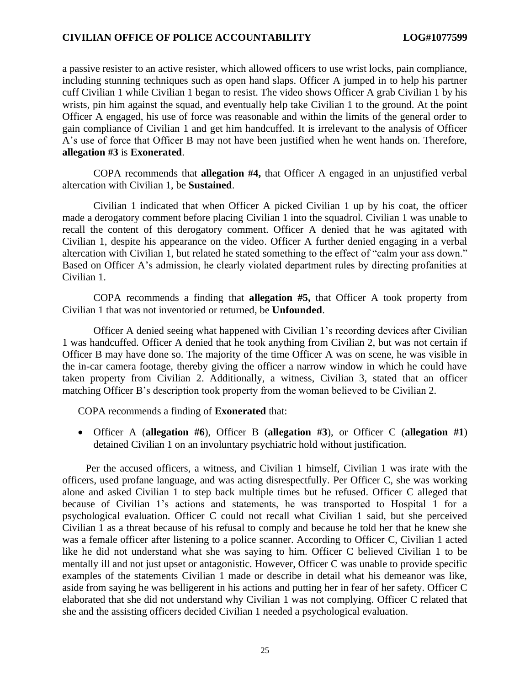a passive resister to an active resister, which allowed officers to use wrist locks, pain compliance, including stunning techniques such as open hand slaps. Officer A jumped in to help his partner cuff Civilian 1 while Civilian 1 began to resist. The video shows Officer A grab Civilian 1 by his wrists, pin him against the squad, and eventually help take Civilian 1 to the ground. At the point Officer A engaged, his use of force was reasonable and within the limits of the general order to gain compliance of Civilian 1 and get him handcuffed. It is irrelevant to the analysis of Officer A's use of force that Officer B may not have been justified when he went hands on. Therefore, **allegation #3** is **Exonerated**.

COPA recommends that **allegation #4,** that Officer A engaged in an unjustified verbal altercation with Civilian 1, be **Sustained**.

Civilian 1 indicated that when Officer A picked Civilian 1 up by his coat, the officer made a derogatory comment before placing Civilian 1 into the squadrol. Civilian 1 was unable to recall the content of this derogatory comment. Officer A denied that he was agitated with Civilian 1, despite his appearance on the video. Officer A further denied engaging in a verbal altercation with Civilian 1, but related he stated something to the effect of "calm your ass down." Based on Officer A's admission, he clearly violated department rules by directing profanities at Civilian 1.

COPA recommends a finding that **allegation #5,** that Officer A took property from Civilian 1 that was not inventoried or returned, be **Unfounded**.

Officer A denied seeing what happened with Civilian 1's recording devices after Civilian 1 was handcuffed. Officer A denied that he took anything from Civilian 2, but was not certain if Officer B may have done so. The majority of the time Officer A was on scene, he was visible in the in-car camera footage, thereby giving the officer a narrow window in which he could have taken property from Civilian 2. Additionally, a witness, Civilian 3, stated that an officer matching Officer B's description took property from the woman believed to be Civilian 2.

COPA recommends a finding of **Exonerated** that:

• Officer A (**allegation #6**), Officer B (**allegation #3**), or Officer C (**allegation #1**) detained Civilian 1 on an involuntary psychiatric hold without justification.

Per the accused officers, a witness, and Civilian 1 himself, Civilian 1 was irate with the officers, used profane language, and was acting disrespectfully. Per Officer C, she was working alone and asked Civilian 1 to step back multiple times but he refused. Officer C alleged that because of Civilian 1's actions and statements, he was transported to Hospital 1 for a psychological evaluation. Officer C could not recall what Civilian 1 said, but she perceived Civilian 1 as a threat because of his refusal to comply and because he told her that he knew she was a female officer after listening to a police scanner. According to Officer C, Civilian 1 acted like he did not understand what she was saying to him. Officer C believed Civilian 1 to be mentally ill and not just upset or antagonistic. However, Officer C was unable to provide specific examples of the statements Civilian 1 made or describe in detail what his demeanor was like, aside from saying he was belligerent in his actions and putting her in fear of her safety. Officer C elaborated that she did not understand why Civilian 1 was not complying. Officer C related that she and the assisting officers decided Civilian 1 needed a psychological evaluation.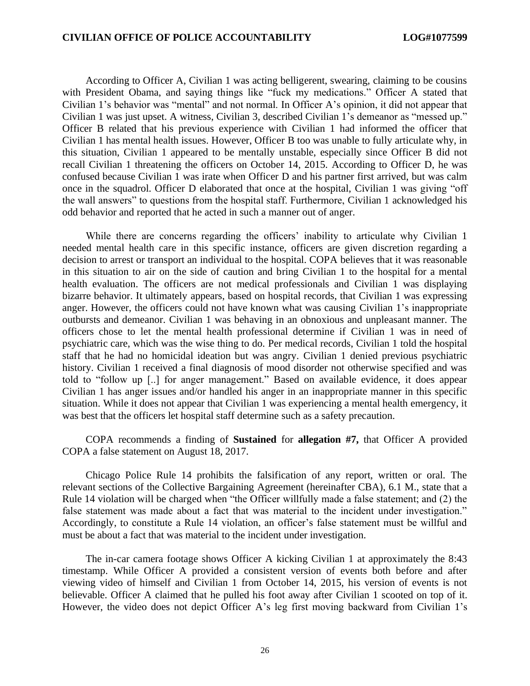According to Officer A, Civilian 1 was acting belligerent, swearing, claiming to be cousins with President Obama, and saying things like "fuck my medications." Officer A stated that Civilian 1's behavior was "mental" and not normal. In Officer A's opinion, it did not appear that Civilian 1 was just upset. A witness, Civilian 3, described Civilian 1's demeanor as "messed up." Officer B related that his previous experience with Civilian 1 had informed the officer that Civilian 1 has mental health issues. However, Officer B too was unable to fully articulate why, in this situation, Civilian 1 appeared to be mentally unstable, especially since Officer B did not recall Civilian 1 threatening the officers on October 14, 2015. According to Officer D, he was confused because Civilian 1 was irate when Officer D and his partner first arrived, but was calm once in the squadrol. Officer D elaborated that once at the hospital, Civilian 1 was giving "off the wall answers" to questions from the hospital staff. Furthermore, Civilian 1 acknowledged his odd behavior and reported that he acted in such a manner out of anger.

While there are concerns regarding the officers' inability to articulate why Civilian 1 needed mental health care in this specific instance, officers are given discretion regarding a decision to arrest or transport an individual to the hospital. COPA believes that it was reasonable in this situation to air on the side of caution and bring Civilian 1 to the hospital for a mental health evaluation. The officers are not medical professionals and Civilian 1 was displaying bizarre behavior. It ultimately appears, based on hospital records, that Civilian 1 was expressing anger. However, the officers could not have known what was causing Civilian 1's inappropriate outbursts and demeanor. Civilian 1 was behaving in an obnoxious and unpleasant manner. The officers chose to let the mental health professional determine if Civilian 1 was in need of psychiatric care, which was the wise thing to do. Per medical records, Civilian 1 told the hospital staff that he had no homicidal ideation but was angry. Civilian 1 denied previous psychiatric history. Civilian 1 received a final diagnosis of mood disorder not otherwise specified and was told to "follow up [..] for anger management." Based on available evidence, it does appear Civilian 1 has anger issues and/or handled his anger in an inappropriate manner in this specific situation. While it does not appear that Civilian 1 was experiencing a mental health emergency, it was best that the officers let hospital staff determine such as a safety precaution.

COPA recommends a finding of **Sustained** for **allegation #7,** that Officer A provided COPA a false statement on August 18, 2017.

Chicago Police Rule 14 prohibits the falsification of any report, written or oral. The relevant sections of the Collective Bargaining Agreement (hereinafter CBA), 6.1 M., state that a Rule 14 violation will be charged when "the Officer willfully made a false statement; and (2) the false statement was made about a fact that was material to the incident under investigation." Accordingly, to constitute a Rule 14 violation, an officer's false statement must be willful and must be about a fact that was material to the incident under investigation.

The in-car camera footage shows Officer A kicking Civilian 1 at approximately the 8:43 timestamp. While Officer A provided a consistent version of events both before and after viewing video of himself and Civilian 1 from October 14, 2015, his version of events is not believable. Officer A claimed that he pulled his foot away after Civilian 1 scooted on top of it. However, the video does not depict Officer A's leg first moving backward from Civilian 1's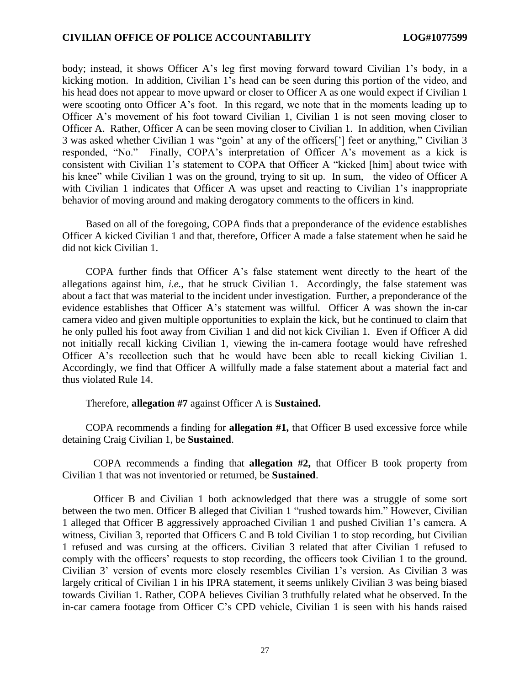body; instead, it shows Officer A's leg first moving forward toward Civilian 1's body, in a kicking motion. In addition, Civilian 1's head can be seen during this portion of the video, and his head does not appear to move upward or closer to Officer A as one would expect if Civilian 1 were scooting onto Officer A's foot. In this regard, we note that in the moments leading up to Officer A's movement of his foot toward Civilian 1, Civilian 1 is not seen moving closer to Officer A. Rather, Officer A can be seen moving closer to Civilian 1. In addition, when Civilian 3 was asked whether Civilian 1 was "goin' at any of the officers['] feet or anything," Civilian 3 responded, "No." Finally, COPA's interpretation of Officer A's movement as a kick is consistent with Civilian 1's statement to COPA that Officer A "kicked [him] about twice with his knee" while Civilian 1 was on the ground, trying to sit up. In sum, the video of Officer A with Civilian 1 indicates that Officer A was upset and reacting to Civilian 1's inappropriate behavior of moving around and making derogatory comments to the officers in kind.

Based on all of the foregoing, COPA finds that a preponderance of the evidence establishes Officer A kicked Civilian 1 and that, therefore, Officer A made a false statement when he said he did not kick Civilian 1.

COPA further finds that Officer A's false statement went directly to the heart of the allegations against him, *i.e.*, that he struck Civilian 1. Accordingly, the false statement was about a fact that was material to the incident under investigation. Further, a preponderance of the evidence establishes that Officer A's statement was willful. Officer A was shown the in-car camera video and given multiple opportunities to explain the kick, but he continued to claim that he only pulled his foot away from Civilian 1 and did not kick Civilian 1. Even if Officer A did not initially recall kicking Civilian 1, viewing the in-camera footage would have refreshed Officer A's recollection such that he would have been able to recall kicking Civilian 1. Accordingly, we find that Officer A willfully made a false statement about a material fact and thus violated Rule 14.

Therefore, **allegation #7** against Officer A is **Sustained.**

COPA recommends a finding for **allegation #1,** that Officer B used excessive force while detaining Craig Civilian 1, be **Sustained**.

COPA recommends a finding that **allegation #2,** that Officer B took property from Civilian 1 that was not inventoried or returned, be **Sustained**.

Officer B and Civilian 1 both acknowledged that there was a struggle of some sort between the two men. Officer B alleged that Civilian 1 "rushed towards him." However, Civilian 1 alleged that Officer B aggressively approached Civilian 1 and pushed Civilian 1's camera. A witness, Civilian 3, reported that Officers C and B told Civilian 1 to stop recording, but Civilian 1 refused and was cursing at the officers. Civilian 3 related that after Civilian 1 refused to comply with the officers' requests to stop recording, the officers took Civilian 1 to the ground. Civilian 3' version of events more closely resembles Civilian 1's version. As Civilian 3 was largely critical of Civilian 1 in his IPRA statement, it seems unlikely Civilian 3 was being biased towards Civilian 1. Rather, COPA believes Civilian 3 truthfully related what he observed. In the in-car camera footage from Officer C's CPD vehicle, Civilian 1 is seen with his hands raised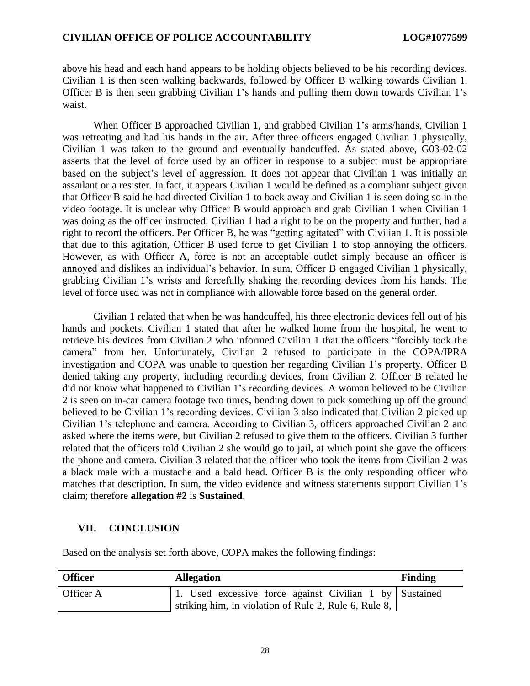above his head and each hand appears to be holding objects believed to be his recording devices. Civilian 1 is then seen walking backwards, followed by Officer B walking towards Civilian 1. Officer B is then seen grabbing Civilian 1's hands and pulling them down towards Civilian 1's waist.

When Officer B approached Civilian 1, and grabbed Civilian 1's arms/hands, Civilian 1 was retreating and had his hands in the air. After three officers engaged Civilian 1 physically, Civilian 1 was taken to the ground and eventually handcuffed. As stated above, G03-02-02 asserts that the level of force used by an officer in response to a subject must be appropriate based on the subject's level of aggression. It does not appear that Civilian 1 was initially an assailant or a resister. In fact, it appears Civilian 1 would be defined as a compliant subject given that Officer B said he had directed Civilian 1 to back away and Civilian 1 is seen doing so in the video footage. It is unclear why Officer B would approach and grab Civilian 1 when Civilian 1 was doing as the officer instructed. Civilian 1 had a right to be on the property and further, had a right to record the officers. Per Officer B, he was "getting agitated" with Civilian 1. It is possible that due to this agitation, Officer B used force to get Civilian 1 to stop annoying the officers. However, as with Officer A, force is not an acceptable outlet simply because an officer is annoyed and dislikes an individual's behavior. In sum, Officer B engaged Civilian 1 physically, grabbing Civilian 1's wrists and forcefully shaking the recording devices from his hands. The level of force used was not in compliance with allowable force based on the general order.

Civilian 1 related that when he was handcuffed, his three electronic devices fell out of his hands and pockets. Civilian 1 stated that after he walked home from the hospital, he went to retrieve his devices from Civilian 2 who informed Civilian 1 that the officers "forcibly took the camera" from her. Unfortunately, Civilian 2 refused to participate in the COPA/IPRA investigation and COPA was unable to question her regarding Civilian 1's property. Officer B denied taking any property, including recording devices, from Civilian 2. Officer B related he did not know what happened to Civilian 1's recording devices. A woman believed to be Civilian 2 is seen on in-car camera footage two times, bending down to pick something up off the ground believed to be Civilian 1's recording devices. Civilian 3 also indicated that Civilian 2 picked up Civilian 1's telephone and camera. According to Civilian 3, officers approached Civilian 2 and asked where the items were, but Civilian 2 refused to give them to the officers. Civilian 3 further related that the officers told Civilian 2 she would go to jail, at which point she gave the officers the phone and camera. Civilian 3 related that the officer who took the items from Civilian 2 was a black male with a mustache and a bald head. Officer B is the only responding officer who matches that description. In sum, the video evidence and witness statements support Civilian 1's claim; therefore **allegation #2** is **Sustained**.

## **VII. CONCLUSION**

Based on the analysis set forth above, COPA makes the following findings:

| <b>Officer</b> | <b>Allegation</b>                                                                                                | <b>Finding</b> |
|----------------|------------------------------------------------------------------------------------------------------------------|----------------|
| Officer A      | 1. Used excessive force against Civilian 1 by Sustained<br>striking him, in violation of Rule 2, Rule 6, Rule 8, |                |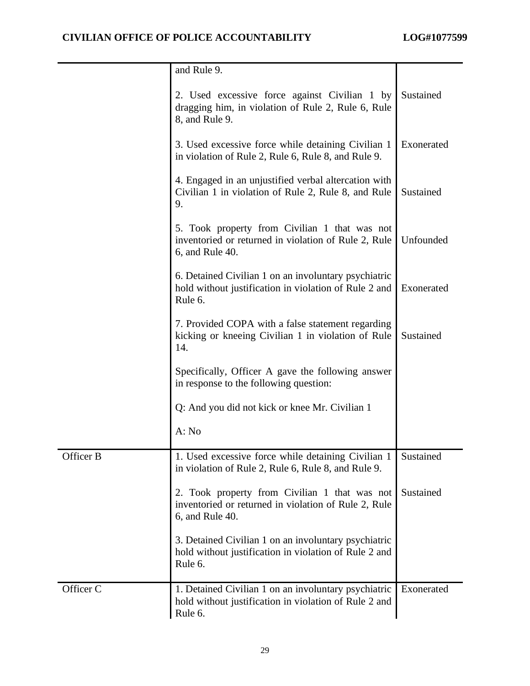|           | and Rule 9.                                                                                                              |            |
|-----------|--------------------------------------------------------------------------------------------------------------------------|------------|
|           | 2. Used excessive force against Civilian 1 by<br>dragging him, in violation of Rule 2, Rule 6, Rule<br>8, and Rule 9.    | Sustained  |
|           | 3. Used excessive force while detaining Civilian 1<br>in violation of Rule 2, Rule 6, Rule 8, and Rule 9.                | Exonerated |
|           | 4. Engaged in an unjustified verbal altercation with<br>Civilian 1 in violation of Rule 2, Rule 8, and Rule<br>9.        | Sustained  |
|           | 5. Took property from Civilian 1 that was not<br>inventoried or returned in violation of Rule 2, Rule<br>6, and Rule 40. | Unfounded  |
|           | 6. Detained Civilian 1 on an involuntary psychiatric<br>hold without justification in violation of Rule 2 and<br>Rule 6. | Exonerated |
|           | 7. Provided COPA with a false statement regarding<br>kicking or kneeing Civilian 1 in violation of Rule<br>14.           | Sustained  |
|           | Specifically, Officer A gave the following answer<br>in response to the following question:                              |            |
|           | Q: And you did not kick or knee Mr. Civilian 1                                                                           |            |
|           | A: No                                                                                                                    |            |
| Officer B | 1. Used excessive force while detaining Civilian 1<br>in violation of Rule 2, Rule 6, Rule 8, and Rule 9.                | Sustained  |
|           | 2. Took property from Civilian 1 that was not<br>inventoried or returned in violation of Rule 2, Rule<br>6, and Rule 40. | Sustained  |
|           | 3. Detained Civilian 1 on an involuntary psychiatric<br>hold without justification in violation of Rule 2 and<br>Rule 6. |            |
| Officer C | 1. Detained Civilian 1 on an involuntary psychiatric<br>hold without justification in violation of Rule 2 and<br>Rule 6. | Exonerated |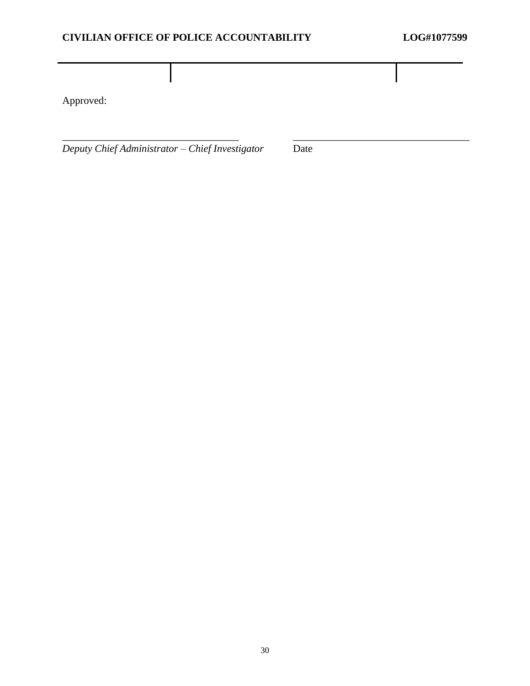Approved:

*Deputy Chief Administrator – Chief Investigator* Date

\_\_\_\_\_\_\_\_\_\_\_\_\_\_\_\_\_\_\_\_\_\_\_\_\_\_\_\_\_\_\_\_\_\_ \_\_\_\_\_\_\_\_\_\_\_\_\_\_\_\_\_\_\_\_\_\_\_\_\_\_\_\_\_\_\_\_\_\_